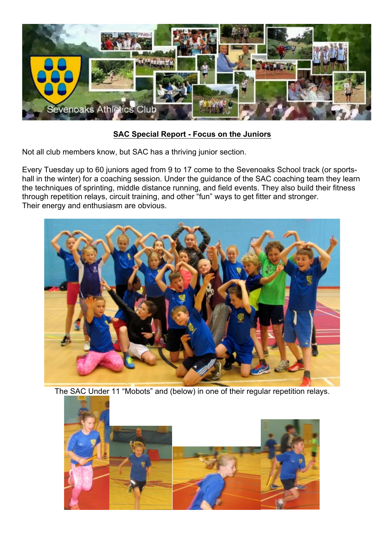

## **SAC Special Report - Focus on the Juniors**

Not all club members know, but SAC has a thriving junior section.

Every Tuesday up to 60 juniors aged from 9 to 17 come to the Sevenoaks School track (or sportshall in the winter) for a coaching session. Under the guidance of the SAC coaching team they learn the techniques of sprinting, middle distance running, and field events. They also build their fitness through repetition relays, circuit training, and other "fun" ways to get fitter and stronger. Their energy and enthusiasm are obvious.



The SAC Under 11 "Mobots" and (below) in one of their regular repetition relays.

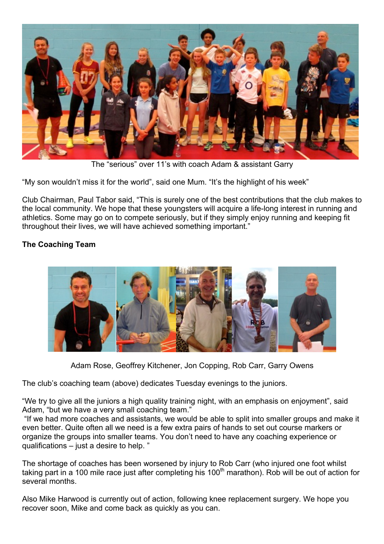

The "serious" over 11's with coach Adam & assistant Garry

"My son wouldn't miss it for the world", said one Mum. "It's the highlight of his week"

Club Chairman, Paul Tabor said, "This is surely one of the best contributions that the club makes to the local community. We hope that these youngsters will acquire a life-long interest in running and athletics. Some may go on to compete seriously, but if they simply enjoy running and keeping fit throughout their lives, we will have achieved something important."

## **The Coaching Team**



Adam Rose, Geoffrey Kitchener, Jon Copping, Rob Carr, Garry Owens

The club's coaching team (above) dedicates Tuesday evenings to the juniors.

"We try to give all the juniors a high quality training night, with an emphasis on enjoyment", said Adam, "but we have a very small coaching team."

"If we had more coaches and assistants, we would be able to split into smaller groups and make it even better. Quite often all we need is a few extra pairs of hands to set out course markers or organize the groups into smaller teams. You don't need to have any coaching experience or qualifications – just a desire to help. "

The shortage of coaches has been worsened by injury to Rob Carr (who injured one foot whilst taking part in a 100 mile race just after completing his 100<sup>th</sup> marathon). Rob will be out of action for several months.

Also Mike Harwood is currently out of action, following knee replacement surgery. We hope you recover soon, Mike and come back as quickly as you can.